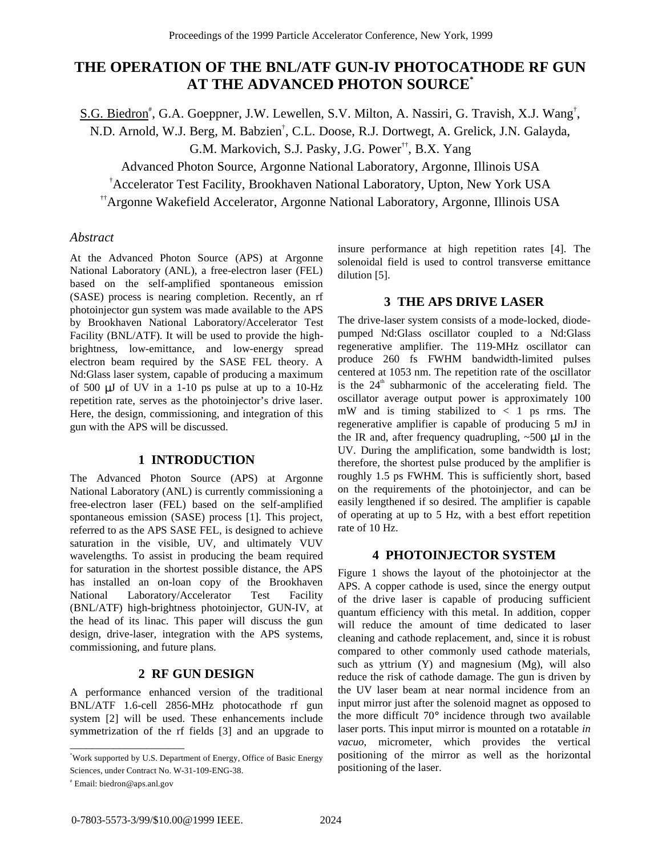# **THE OPERATION OF THE BNL/ATF GUN-IV PHOTOCATHODE RF GUN AT THE ADVANCED PHOTON SOURCE\***

S.G. Biedron<sup>#</sup>, G.A. Goeppner, J.W. Lewellen, S.V. Milton, A. Nassiri, G. Travish, X.J. Wang<sup>†</sup>,

N.D. Arnold, W.J. Berg, M. Babzien† , C.L. Doose, R.J. Dortwegt, A. Grelick, J.N. Galayda,

G.M. Markovich, S.J. Pasky, J.G. Power††, B.X. Yang

Advanced Photon Source, Argonne National Laboratory, Argonne, Illinois USA

† Accelerator Test Facility, Brookhaven National Laboratory, Upton, New York USA

††Argonne Wakefield Accelerator, Argonne National Laboratory, Argonne, Illinois USA

# *Abstract*

At the Advanced Photon Source (APS) at Argonne National Laboratory (ANL), a free-electron laser (FEL) based on the self-amplified spontaneous emission (SASE) process is nearing completion. Recently, an rf photoinjector gun system was made available to the APS by Brookhaven National Laboratory/Accelerator Test Facility (BNL/ATF). It will be used to provide the highbrightness, low-emittance, and low-energy spread electron beam required by the SASE FEL theory. A Nd:Glass laser system, capable of producing a maximum of 500  $\mu$ J of UV in a 1-10 ps pulse at up to a 10-Hz repetition rate, serves as the photoinjector's drive laser. Here, the design, commissioning, and integration of this gun with the APS will be discussed.

## **1 INTRODUCTION**

The Advanced Photon Source (APS) at Argonne National Laboratory (ANL) is currently commissioning a free-electron laser (FEL) based on the self-amplified spontaneous emission (SASE) process [1]. This project, referred to as the APS SASE FEL, is designed to achieve saturation in the visible, UV, and ultimately VUV wavelengths. To assist in producing the beam required for saturation in the shortest possible distance, the APS has installed an on-loan copy of the Brookhaven National Laboratory/Accelerator Test Facility (BNL/ATF) high-brightness photoinjector, GUN-IV, at the head of its linac. This paper will discuss the gun design, drive-laser, integration with the APS systems, commissioning, and future plans.

## **2 RF GUN DESIGN**

A performance enhanced version of the traditional BNL/ATF 1.6-cell 2856-MHz photocathode rf gun system [2] will be used. These enhancements include symmetrization of the rf fields [3] and an upgrade to

\_\_\_\_\_\_\_\_\_\_\_\_\_\_\_\_\_\_\_\_\_

insure performance at high repetition rates [4]. The solenoidal field is used to control transverse emittance dilution [5].

# **3 THE APS DRIVE LASER**

The drive-laser system consists of a mode-locked, diodepumped Nd:Glass oscillator coupled to a Nd:Glass regenerative amplifier. The 119-MHz oscillator can produce 260 fs FWHM bandwidth-limited pulses centered at 1053 nm. The repetition rate of the oscillator is the  $24<sup>th</sup>$  subharmonic of the accelerating field. The oscillator average output power is approximately 100 mW and is timing stabilized to < 1 ps rms. The regenerative amplifier is capable of producing 5 mJ in the IR and, after frequency quadrupling,  $\sim$  500  $\mu$ J in the UV. During the amplification, some bandwidth is lost; therefore, the shortest pulse produced by the amplifier is roughly 1.5 ps FWHM. This is sufficiently short, based on the requirements of the photoinjector, and can be easily lengthened if so desired. The amplifier is capable of operating at up to 5 Hz, with a best effort repetition rate of 10 Hz.

## **4 PHOTOINJECTOR SYSTEM**

Figure 1 shows the layout of the photoinjector at the APS. A copper cathode is used, since the energy output of the drive laser is capable of producing sufficient quantum efficiency with this metal. In addition, copper will reduce the amount of time dedicated to laser cleaning and cathode replacement, and, since it is robust compared to other commonly used cathode materials, such as yttrium  $(Y)$  and magnesium  $(Mg)$ , will also reduce the risk of cathode damage. The gun is driven by the UV laser beam at near normal incidence from an input mirror just after the solenoid magnet as opposed to the more difficult 70° incidence through two available laser ports. This input mirror is mounted on a rotatable *in vacuo*, micrometer, which provides the vertical positioning of the mirror as well as the horizontal positioning of the laser.

<sup>\*</sup> Work supported by U.S. Department of Energy, Office of Basic Energy Sciences, under Contract No. W-31-109-ENG-38.

<sup>#</sup> Email: biedron@aps.anl.gov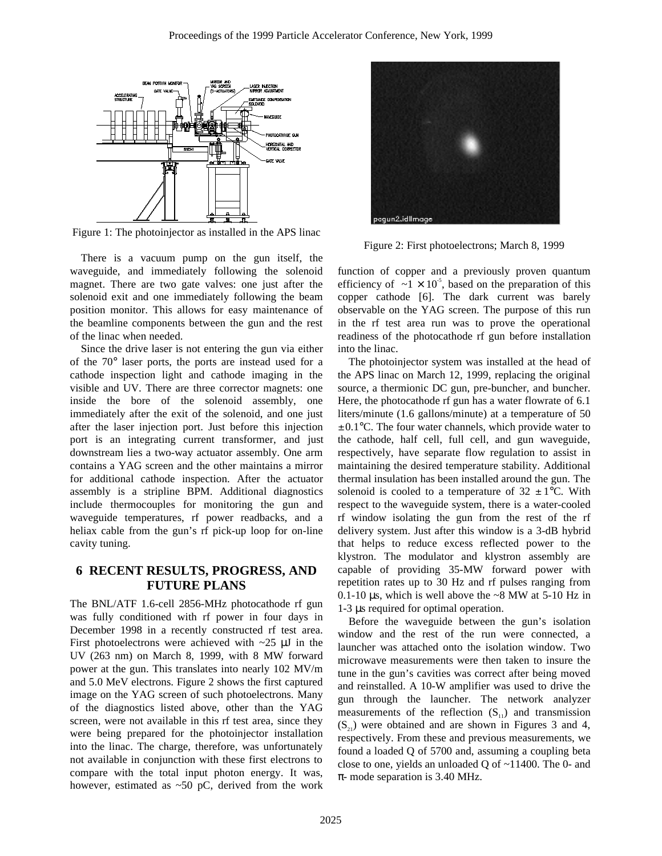

Figure 1: The photoinjector as installed in the APS linac

There is a vacuum pump on the gun itself, the waveguide, and immediately following the solenoid magnet. There are two gate valves: one just after the solenoid exit and one immediately following the beam position monitor. This allows for easy maintenance of the beamline components between the gun and the rest of the linac when needed.

Since the drive laser is not entering the gun via either of the 70° laser ports, the ports are instead used for a cathode inspection light and cathode imaging in the visible and UV. There are three corrector magnets: one inside the bore of the solenoid assembly, one immediately after the exit of the solenoid, and one just after the laser injection port. Just before this injection port is an integrating current transformer, and just downstream lies a two-way actuator assembly. One arm contains a YAG screen and the other maintains a mirror for additional cathode inspection. After the actuator assembly is a stripline BPM. Additional diagnostics include thermocouples for monitoring the gun and waveguide temperatures, rf power readbacks, and a heliax cable from the gun's rf pick-up loop for on-line cavity tuning.

# **6 RECENT RESULTS, PROGRESS, AND FUTURE PLANS**

The BNL/ATF 1.6-cell 2856-MHz photocathode rf gun was fully conditioned with rf power in four days in December 1998 in a recently constructed rf test area. First photoelectrons were achieved with  $\sim$ 25  $\mu$ J in the UV (263 nm) on March 8, 1999, with 8 MW forward power at the gun. This translates into nearly 102 MV/m and 5.0 MeV electrons. Figure 2 shows the first captured image on the YAG screen of such photoelectrons. Many of the diagnostics listed above, other than the YAG screen, were not available in this rf test area, since they were being prepared for the photoinjector installation into the linac. The charge, therefore, was unfortunately not available in conjunction with these first electrons to compare with the total input photon energy. It was, however, estimated as  $\sim 50$  pC, derived from the work



Figure 2: First photoelectrons; March 8, 1999

function of copper and a previously proven quantum efficiency of  $\sim 1 \times 10^{-5}$ , based on the preparation of this copper cathode [6]. The dark current was barely observable on the YAG screen. The purpose of this run in the rf test area run was to prove the operational readiness of the photocathode rf gun before installation into the linac.

The photoinjector system was installed at the head of the APS linac on March 12, 1999, replacing the original source, a thermionic DC gun, pre-buncher, and buncher. Here, the photocathode rf gun has a water flowrate of 6.1 liters/minute (1.6 gallons/minute) at a temperature of 50  $\pm$  0.1 $\degree$ C. The four water channels, which provide water to the cathode, half cell, full cell, and gun waveguide, respectively, have separate flow regulation to assist in maintaining the desired temperature stability. Additional thermal insulation has been installed around the gun. The solenoid is cooled to a temperature of  $32 \pm 1$ °C. With respect to the waveguide system, there is a water-cooled rf window isolating the gun from the rest of the rf delivery system. Just after this window is a 3-dB hybrid that helps to reduce excess reflected power to the klystron. The modulator and klystron assembly are capable of providing 35-MW forward power with repetition rates up to 30 Hz and rf pulses ranging from 0.1-10  $\mu$ s, which is well above the ~8 MW at 5-10 Hz in 1-3 µs required for optimal operation.

Before the waveguide between the gun's isolation window and the rest of the run were connected, a launcher was attached onto the isolation window. Two microwave measurements were then taken to insure the tune in the gun's cavities was correct after being moved and reinstalled. A 10-W amplifier was used to drive the gun through the launcher. The network analyzer measurements of the reflection  $(S_{11})$  and transmission  $(S_{21})$  were obtained and are shown in Figures 3 and 4, respectively. From these and previous measurements, we found a loaded Q of 5700 and, assuming a coupling beta close to one, yields an unloaded Q of  $\sim$ 11400. The 0- and  $\pi$ - mode separation is 3.40 MHz.